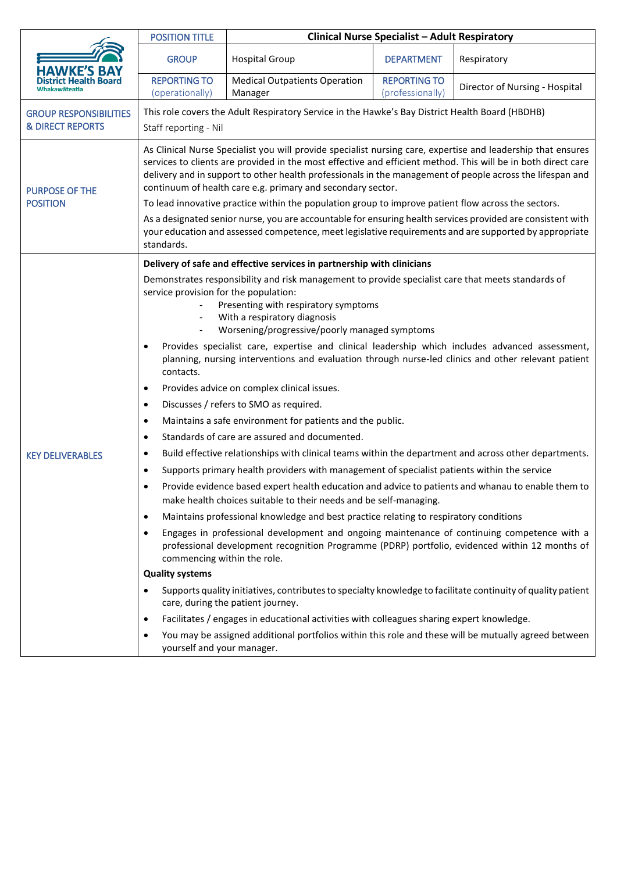|                                                              |                                                                                                                                                                                                                                                                                                                                                                                                                                                                                                                                                                                                                                                                                                                                                                                                                                                                                                                                                                                                                                                                                                                                                                                                                                                                                                                                                                                                                                                                                                                                                                                                                                                                                                                                                                                                                                                                                                                                                                                                        |                                                 |                                         | <b>Clinical Nurse Specialist - Adult Respiratory</b> |  |  |
|--------------------------------------------------------------|--------------------------------------------------------------------------------------------------------------------------------------------------------------------------------------------------------------------------------------------------------------------------------------------------------------------------------------------------------------------------------------------------------------------------------------------------------------------------------------------------------------------------------------------------------------------------------------------------------------------------------------------------------------------------------------------------------------------------------------------------------------------------------------------------------------------------------------------------------------------------------------------------------------------------------------------------------------------------------------------------------------------------------------------------------------------------------------------------------------------------------------------------------------------------------------------------------------------------------------------------------------------------------------------------------------------------------------------------------------------------------------------------------------------------------------------------------------------------------------------------------------------------------------------------------------------------------------------------------------------------------------------------------------------------------------------------------------------------------------------------------------------------------------------------------------------------------------------------------------------------------------------------------------------------------------------------------------------------------------------------------|-------------------------------------------------|-----------------------------------------|------------------------------------------------------|--|--|
| <b>HAWKE'S BAY</b>                                           | <b>GROUP</b>                                                                                                                                                                                                                                                                                                                                                                                                                                                                                                                                                                                                                                                                                                                                                                                                                                                                                                                                                                                                                                                                                                                                                                                                                                                                                                                                                                                                                                                                                                                                                                                                                                                                                                                                                                                                                                                                                                                                                                                           | <b>Hospital Group</b>                           | <b>DEPARTMENT</b>                       | Respiratory                                          |  |  |
|                                                              | <b>REPORTING TO</b><br>(operationally)                                                                                                                                                                                                                                                                                                                                                                                                                                                                                                                                                                                                                                                                                                                                                                                                                                                                                                                                                                                                                                                                                                                                                                                                                                                                                                                                                                                                                                                                                                                                                                                                                                                                                                                                                                                                                                                                                                                                                                 | <b>Medical Outpatients Operation</b><br>Manager | <b>REPORTING TO</b><br>(professionally) | Director of Nursing - Hospital                       |  |  |
| <b>GROUP RESPONSIBILITIES</b><br><b>&amp; DIRECT REPORTS</b> | This role covers the Adult Respiratory Service in the Hawke's Bay District Health Board (HBDHB)<br>Staff reporting - Nil                                                                                                                                                                                                                                                                                                                                                                                                                                                                                                                                                                                                                                                                                                                                                                                                                                                                                                                                                                                                                                                                                                                                                                                                                                                                                                                                                                                                                                                                                                                                                                                                                                                                                                                                                                                                                                                                               |                                                 |                                         |                                                      |  |  |
| <b>PURPOSE OF THE</b><br><b>POSITION</b>                     | As Clinical Nurse Specialist you will provide specialist nursing care, expertise and leadership that ensures<br>services to clients are provided in the most effective and efficient method. This will be in both direct care<br>delivery and in support to other health professionals in the management of people across the lifespan and<br>continuum of health care e.g. primary and secondary sector.<br>To lead innovative practice within the population group to improve patient flow across the sectors.<br>As a designated senior nurse, you are accountable for ensuring health services provided are consistent with<br>your education and assessed competence, meet legislative requirements and are supported by appropriate<br>standards.                                                                                                                                                                                                                                                                                                                                                                                                                                                                                                                                                                                                                                                                                                                                                                                                                                                                                                                                                                                                                                                                                                                                                                                                                                                |                                                 |                                         |                                                      |  |  |
| <b>KEY DELIVERABLES</b>                                      | Delivery of safe and effective services in partnership with clinicians<br>Demonstrates responsibility and risk management to provide specialist care that meets standards of<br>service provision for the population:<br>Presenting with respiratory symptoms<br>With a respiratory diagnosis<br>$\qquad \qquad \blacksquare$<br>Worsening/progressive/poorly managed symptoms<br>Provides specialist care, expertise and clinical leadership which includes advanced assessment,<br>planning, nursing interventions and evaluation through nurse-led clinics and other relevant patient<br>contacts.<br>Provides advice on complex clinical issues.<br>$\bullet$<br>Discusses / refers to SMO as required.<br>٠<br>Maintains a safe environment for patients and the public.<br>٠<br>Standards of care are assured and documented.<br>$\bullet$<br>Build effective relationships with clinical teams within the department and across other departments.<br>٠<br>Supports primary health providers with management of specialist patients within the service<br>$\bullet$<br>Provide evidence based expert health education and advice to patients and whanau to enable them to<br>$\bullet$<br>make health choices suitable to their needs and be self-managing.<br>Maintains professional knowledge and best practice relating to respiratory conditions<br>$\bullet$<br>Engages in professional development and ongoing maintenance of continuing competence with a<br>٠<br>professional development recognition Programme (PDRP) portfolio, evidenced within 12 months of<br>commencing within the role.<br><b>Quality systems</b><br>Supports quality initiatives, contributes to specialty knowledge to facilitate continuity of quality patient<br>care, during the patient journey.<br>Facilitates / engages in educational activities with colleagues sharing expert knowledge.<br>٠<br>You may be assigned additional portfolios within this role and these will be mutually agreed between |                                                 |                                         |                                                      |  |  |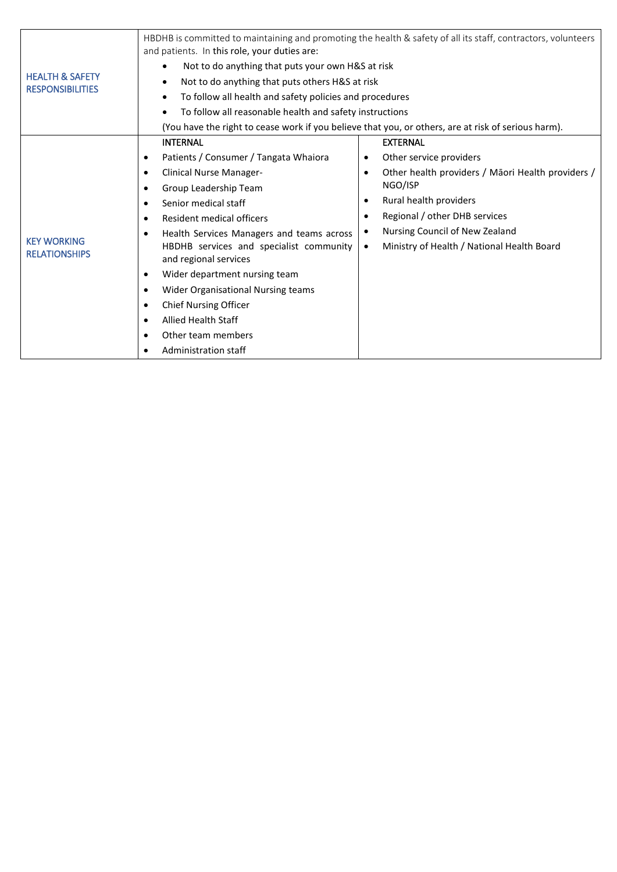| <b>HEALTH &amp; SAFETY</b><br><b>RESPONSIBILITIES</b> | HBDHB is committed to maintaining and promoting the health & safety of all its staff, contractors, volunteers<br>and patients. In this role, your duties are: |                                                   |  |  |  |
|-------------------------------------------------------|---------------------------------------------------------------------------------------------------------------------------------------------------------------|---------------------------------------------------|--|--|--|
|                                                       | Not to do anything that puts your own H&S at risk                                                                                                             |                                                   |  |  |  |
|                                                       | Not to do anything that puts others H&S at risk                                                                                                               |                                                   |  |  |  |
|                                                       | To follow all health and safety policies and procedures                                                                                                       |                                                   |  |  |  |
|                                                       | To follow all reasonable health and safety instructions                                                                                                       |                                                   |  |  |  |
|                                                       | (You have the right to cease work if you believe that you, or others, are at risk of serious harm).                                                           |                                                   |  |  |  |
| <b>KEY WORKING</b><br><b>RELATIONSHIPS</b>            | <b>INTERNAL</b>                                                                                                                                               | <b>EXTERNAL</b>                                   |  |  |  |
|                                                       | Patients / Consumer / Tangata Whaiora<br>$\bullet$                                                                                                            | Other service providers                           |  |  |  |
|                                                       | Clinical Nurse Manager-<br>$\bullet$                                                                                                                          | Other health providers / Māori Health providers / |  |  |  |
|                                                       | Group Leadership Team<br>$\bullet$                                                                                                                            | NGO/ISP                                           |  |  |  |
|                                                       | Senior medical staff<br>٠                                                                                                                                     | Rural health providers<br>$\bullet$               |  |  |  |
|                                                       | Resident medical officers<br>$\bullet$                                                                                                                        | Regional / other DHB services<br>٠                |  |  |  |
|                                                       | Health Services Managers and teams across<br>$\bullet$                                                                                                        | Nursing Council of New Zealand                    |  |  |  |
|                                                       | HBDHB services and specialist community<br>and regional services                                                                                              | Ministry of Health / National Health Board        |  |  |  |
|                                                       | Wider department nursing team<br>$\bullet$                                                                                                                    |                                                   |  |  |  |
|                                                       | <b>Wider Organisational Nursing teams</b><br>$\bullet$                                                                                                        |                                                   |  |  |  |
|                                                       | <b>Chief Nursing Officer</b><br>$\bullet$                                                                                                                     |                                                   |  |  |  |
|                                                       | <b>Allied Health Staff</b><br>$\bullet$                                                                                                                       |                                                   |  |  |  |
|                                                       | Other team members<br>$\bullet$                                                                                                                               |                                                   |  |  |  |
|                                                       | Administration staff                                                                                                                                          |                                                   |  |  |  |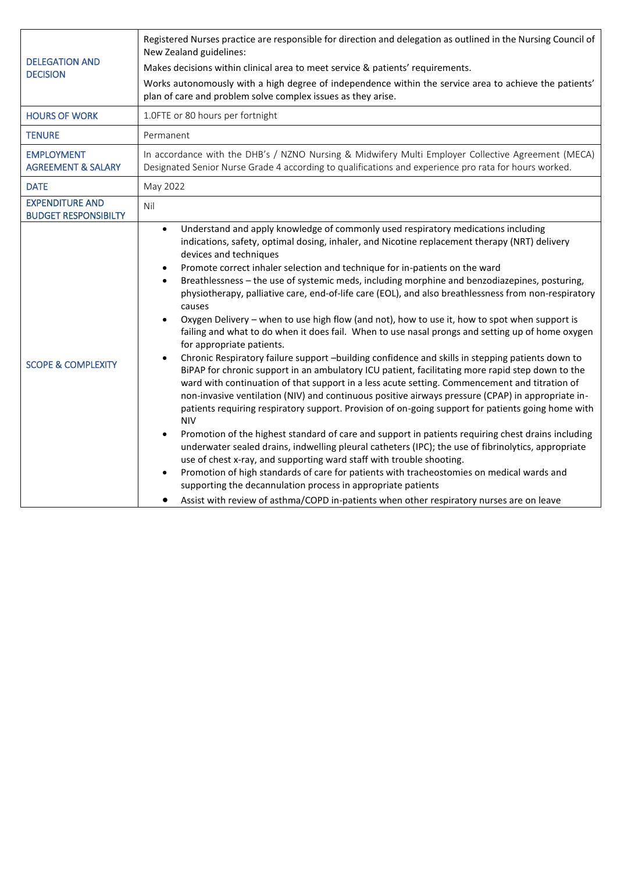| <b>DELEGATION AND</b><br><b>DECISION</b>              | Registered Nurses practice are responsible for direction and delegation as outlined in the Nursing Council of<br>New Zealand guidelines:                                                                                                                                                                                                                                                                                                                                                                                                                                                                                                                                                                                                                                                                                                                                                                                                                                                                                                                                                                                                                                                                                                                                                                                                                                                                                                                                                                                                                                                                                                                                                                                                                                                                                                                                                                       |  |  |  |
|-------------------------------------------------------|----------------------------------------------------------------------------------------------------------------------------------------------------------------------------------------------------------------------------------------------------------------------------------------------------------------------------------------------------------------------------------------------------------------------------------------------------------------------------------------------------------------------------------------------------------------------------------------------------------------------------------------------------------------------------------------------------------------------------------------------------------------------------------------------------------------------------------------------------------------------------------------------------------------------------------------------------------------------------------------------------------------------------------------------------------------------------------------------------------------------------------------------------------------------------------------------------------------------------------------------------------------------------------------------------------------------------------------------------------------------------------------------------------------------------------------------------------------------------------------------------------------------------------------------------------------------------------------------------------------------------------------------------------------------------------------------------------------------------------------------------------------------------------------------------------------------------------------------------------------------------------------------------------------|--|--|--|
|                                                       | Makes decisions within clinical area to meet service & patients' requirements.                                                                                                                                                                                                                                                                                                                                                                                                                                                                                                                                                                                                                                                                                                                                                                                                                                                                                                                                                                                                                                                                                                                                                                                                                                                                                                                                                                                                                                                                                                                                                                                                                                                                                                                                                                                                                                 |  |  |  |
|                                                       | Works autonomously with a high degree of independence within the service area to achieve the patients'<br>plan of care and problem solve complex issues as they arise.                                                                                                                                                                                                                                                                                                                                                                                                                                                                                                                                                                                                                                                                                                                                                                                                                                                                                                                                                                                                                                                                                                                                                                                                                                                                                                                                                                                                                                                                                                                                                                                                                                                                                                                                         |  |  |  |
| <b>HOURS OF WORK</b>                                  | 1.0FTE or 80 hours per fortnight                                                                                                                                                                                                                                                                                                                                                                                                                                                                                                                                                                                                                                                                                                                                                                                                                                                                                                                                                                                                                                                                                                                                                                                                                                                                                                                                                                                                                                                                                                                                                                                                                                                                                                                                                                                                                                                                               |  |  |  |
| <b>TENURE</b>                                         | Permanent                                                                                                                                                                                                                                                                                                                                                                                                                                                                                                                                                                                                                                                                                                                                                                                                                                                                                                                                                                                                                                                                                                                                                                                                                                                                                                                                                                                                                                                                                                                                                                                                                                                                                                                                                                                                                                                                                                      |  |  |  |
| <b>EMPLOYMENT</b><br><b>AGREEMENT &amp; SALARY</b>    | In accordance with the DHB's / NZNO Nursing & Midwifery Multi Employer Collective Agreement (MECA)<br>Designated Senior Nurse Grade 4 according to qualifications and experience pro rata for hours worked.                                                                                                                                                                                                                                                                                                                                                                                                                                                                                                                                                                                                                                                                                                                                                                                                                                                                                                                                                                                                                                                                                                                                                                                                                                                                                                                                                                                                                                                                                                                                                                                                                                                                                                    |  |  |  |
| <b>DATE</b>                                           | May 2022                                                                                                                                                                                                                                                                                                                                                                                                                                                                                                                                                                                                                                                                                                                                                                                                                                                                                                                                                                                                                                                                                                                                                                                                                                                                                                                                                                                                                                                                                                                                                                                                                                                                                                                                                                                                                                                                                                       |  |  |  |
| <b>EXPENDITURE AND</b><br><b>BUDGET RESPONSIBILTY</b> | Nil                                                                                                                                                                                                                                                                                                                                                                                                                                                                                                                                                                                                                                                                                                                                                                                                                                                                                                                                                                                                                                                                                                                                                                                                                                                                                                                                                                                                                                                                                                                                                                                                                                                                                                                                                                                                                                                                                                            |  |  |  |
| <b>SCOPE &amp; COMPLEXITY</b>                         | Understand and apply knowledge of commonly used respiratory medications including<br>$\bullet$<br>indications, safety, optimal dosing, inhaler, and Nicotine replacement therapy (NRT) delivery<br>devices and techniques<br>Promote correct inhaler selection and technique for in-patients on the ward<br>$\bullet$<br>Breathlessness - the use of systemic meds, including morphine and benzodiazepines, posturing,<br>physiotherapy, palliative care, end-of-life care (EOL), and also breathlessness from non-respiratory<br>causes<br>Oxygen Delivery - when to use high flow (and not), how to use it, how to spot when support is<br>$\bullet$<br>failing and what to do when it does fail. When to use nasal prongs and setting up of home oxygen<br>for appropriate patients.<br>Chronic Respiratory failure support -building confidence and skills in stepping patients down to<br>$\bullet$<br>BiPAP for chronic support in an ambulatory ICU patient, facilitating more rapid step down to the<br>ward with continuation of that support in a less acute setting. Commencement and titration of<br>non-invasive ventilation (NIV) and continuous positive airways pressure (CPAP) in appropriate in-<br>patients requiring respiratory support. Provision of on-going support for patients going home with<br><b>NIV</b><br>Promotion of the highest standard of care and support in patients requiring chest drains including<br>$\bullet$<br>underwater sealed drains, indwelling pleural catheters (IPC); the use of fibrinolytics, appropriate<br>use of chest x-ray, and supporting ward staff with trouble shooting.<br>Promotion of high standards of care for patients with tracheostomies on medical wards and<br>$\bullet$<br>supporting the decannulation process in appropriate patients<br>Assist with review of asthma/COPD in-patients when other respiratory nurses are on leave |  |  |  |